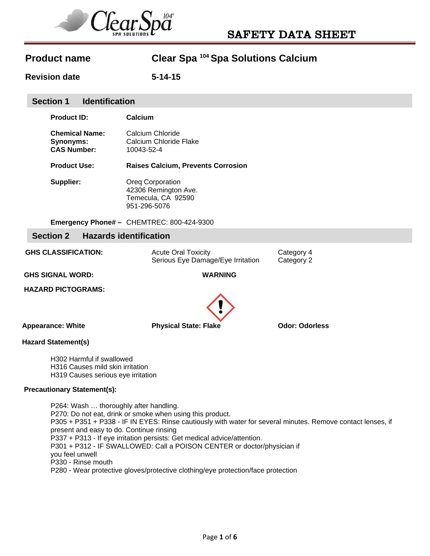

**Revision date 5-14-15** 

## **Section 1 Identification**

| Product ID: |
|-------------|
|             |

**Chemical Name:** Calcium Chloride **Synonyms:** Calcium Chloride Flake **CAS Number:** 10043-52-4

**Calcium** 

**Product Use: Raises Calcium, Prevents Corrosion**

**Supplier: Oreg Corporation** 42306 Remington Ave. Temecula, CA 92590 951-296-5076

**Emergency Phone# –** CHEMTREC: 800-424-9300

## **Section 2 Hazards identification**

| <b>GHS CLASSIFICATION:</b> | <b>Acute Oral Toxicity</b><br>Serious Eye Damage/Eye Irritation | Category 4<br>Category 2 |  |
|----------------------------|-----------------------------------------------------------------|--------------------------|--|
|                            |                                                                 |                          |  |

 **GHS SIGNAL WORD: WARNING** 

 **HAZARD PICTOGRAMS:** 



**Appearance: White Channel State: Physical State: Flake Cdor: Odorless** *Physical State: Flake* **Communist Constant** 

### **Hazard Statement(s)**

H302 Harmful if swallowed H316 Causes mild skin irritation H319 Causes serious eye irritation

### **Precautionary Statement(s):**

P264: Wash … thoroughly after handling. P270: Do not eat, drink or smoke when using this product. P305 + P351 + P338 - IF IN EYES: Rinse cautiously with water for several minutes. Remove contact lenses, if present and easy to do. Continue rinsing P337 + P313 - If eye irritation persists: Get medical advice/attention. P301 + P312 - IF SWALLOWED: Call a POISON CENTER or doctor/physician if you feel unwell P330 - Rinse mouth P280 - Wear protective gloves/protective clothing/eye protection/face protection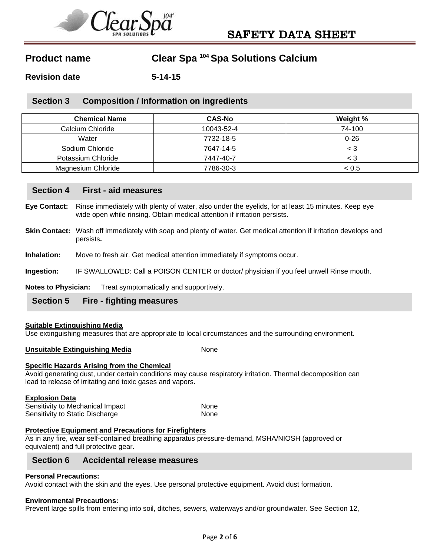

**Revision date 5-14-15** 

## **Section 3 Composition / Information on ingredients**

| <b>Chemical Name</b> | <b>CAS-No</b> | Weight % |
|----------------------|---------------|----------|
| Calcium Chloride     | 10043-52-4    | 74-100   |
| Water                | 7732-18-5     | $0 - 26$ |
| Sodium Chloride      | 7647-14-5     | < 3      |
| Potassium Chloride   | 7447-40-7     | < 3      |
| Magnesium Chloride   | 7786-30-3     | < 0.5    |

# **Section 4 First - aid measures**

**Eye Contact:** Rinse immediately with plenty of water, also under the eyelids, for at least 15 minutes. Keep eye wide open while rinsing. Obtain medical attention if irritation persists.

- **Skin Contact:** Wash off immediately with soap and plenty of water. Get medical attention if irritation develops and persists**.**
- **Inhalation:** Move to fresh air. Get medical attention immediately if symptoms occur.

**Ingestion:** IF SWALLOWED: Call a POISON CENTER or doctor/ physician if you feel unwell Rinse mouth.

**Notes to Physician:** Treat symptomatically and supportively.

# **Section 5 Fire - fighting measures**

### **Suitable Extinguishing Media**

Use extinguishing measures that are appropriate to local circumstances and the surrounding environment.

#### **Unsuitable Extinguishing Media None** None

### **Specific Hazards Arising from the Chemical**

Avoid generating dust, under certain conditions may cause respiratory irritation. Thermal decomposition can lead to release of irritating and toxic gases and vapors.

**Explosion Data** 

Sensitivity to Mechanical Impact None Sensitivity to Static Discharge None

### **Protective Equipment and Precautions for Firefighters**

As in any fire, wear self-contained breathing apparatus pressure-demand, MSHA/NIOSH (approved or equivalent) and full protective gear.

# **Section 6 Accidental release measures**

#### **Personal Precautions:**

Avoid contact with the skin and the eyes. Use personal protective equipment. Avoid dust formation.

#### **Environmental Precautions:**

Prevent large spills from entering into soil, ditches, sewers, waterways and/or groundwater. See Section 12,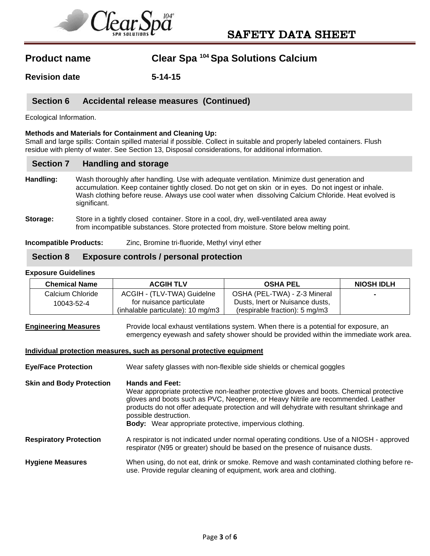

**Revision date 5-14-15** 

# **Section 6 Accidental release measures (Continued)**

Ecological Information.

### **Methods and Materials for Containment and Cleaning Up:**

Small and large spills: Contain spilled material if possible. Collect in suitable and properly labeled containers. Flush residue with plenty of water. See Section 13, Disposal considerations, for additional information.

### **Section 7 Handling and storage**

- **Handling:** Wash thoroughly after handling. Use with adequate ventilation. Minimize dust generation and accumulation. Keep container tightly closed. Do not get on skin or in eyes. Do not ingest or inhale. Wash clothing before reuse. Always use cool water when dissolving Calcium Chloride. Heat evolved is significant.
- **Storage:** Store in a tightly closed container. Store in a cool, dry, well-ventilated area away from incompatible substances. Store protected from moisture. Store below melting point.

**Incompatible Products:** Zinc, Bromine tri-fluoride, Methyl vinyl ether

# **Section 8 Exposure controls / personal protection**

#### **Exposure Guidelines**

| <b>Chemical Name</b> | <b>ACGIH TLV</b>                    | <b>OSHA PEL</b>                           | <b>NIOSH IDLH</b>        |
|----------------------|-------------------------------------|-------------------------------------------|--------------------------|
| Calcium Chloride     | ACGIH - (TLV-TWA) Guidelne          | OSHA (PEL-TWA) - Z-3 Mineral              | $\overline{\phantom{0}}$ |
| 10043-52-4           | for nuisance particulate            | Dusts, Inert or Nuisance dusts,           |                          |
|                      | $(inhalable$ particulate): 10 mg/m3 | (respirable fraction): $5 \text{ mg/m}$ 3 |                          |

**Engineering Measures** Provide local exhaust ventilations system. When there is a potential for exposure, an emergency eyewash and safety shower should be provided within the immediate work area.

#### **Individual protection measures, such as personal protective equipment**

**Eye/Face Protection** Wear safety glasses with non-flexible side shields or chemical goggles

**Skin and Body Protection Hands and Feet:**  Wear appropriate protective non-leather protective gloves and boots. Chemical protective gloves and boots such as PVC, Neoprene, or Heavy Nitrile are recommended. Leather products do not offer adequate protection and will dehydrate with resultant shrinkage and possible destruction.  **Body:** Wear appropriate protective, impervious clothing.

- **Respiratory Protection** A respirator is not indicated under normal operating conditions. Use of a NIOSH approved respirator (N95 or greater) should be based on the presence of nuisance dusts.
- **Hygiene Measures** When using, do not eat, drink or smoke. Remove and wash contaminated clothing before reuse. Provide regular cleaning of equipment, work area and clothing.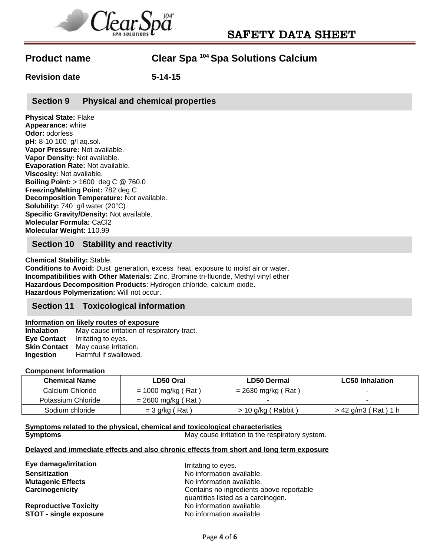

**Revision date 5-14-15** 

**Section 9 Physical and chemical properties** 

**Physical State:** Flake **Appearance:** white **Odor:** odorless **pH:** 8-10 100 g/l aq.sol. **Vapor Pressure:** Not available. **Vapor Density:** Not available. **Evaporation Rate:** Not available. **Viscosity:** Not available. **Boiling Point:** > 1600 deg C @ 760.0 **Freezing/Melting Point:** 782 deg C **Decomposition Temperature:** Not available. **Solubility:** 740 g/l water (20°C) **Specific Gravity/Density:** Not available. **Molecular Formula:** CaCl2 **Molecular Weight:** 110.99

# **Section 10 Stability and reactivity**

**Chemical Stability:** Stable. **Conditions to Avoid:** Dust generation, excess heat, exposure to moist air or water. **Incompatibilities with Other Materials:** Zinc, Bromine tri-fluoride, Methyl vinyl ether **Hazardous Decomposition Products**: Hydrogen chloride, calcium oxide. **Hazardous Polymerization:** Will not occur.

## **Section 11 Toxicological information**

### **Information on likely routes of exposure**

**Inhalation** May cause irritation of respiratory tract. **Eye Contact** Irritating to eyes. **Skin Contact** May cause irritation. **Ingestion** Harmful if swallowed.

#### **Component Information**

| Chemical Name      | LD50 Oral            | <b>LD50 Dermal</b>   | <b>LC50</b> Inhalation |
|--------------------|----------------------|----------------------|------------------------|
| Calcium Chloride   | $= 1000$ mg/kg (Rat) | $= 2630$ mg/kg (Rat) |                        |
| Potassium Chloride | = 2600 mg/kg ( Rat ) |                      |                        |
| Sodium chloride    | $=$ 3 g/kg (Rat)     | > 10 g/kg ( Rabbit ) | > 42 g/m3(Rat)1 h      |

**Symptoms related to the physical, chemical and toxicological characteristics Symptoms Symptoms May cause irritation to the respiratory system.** 

### **Delayed and immediate effects and also chronic effects from short and long term exposure**

| Eye damage/irritation         | Irritating to eyes.                                                            |  |
|-------------------------------|--------------------------------------------------------------------------------|--|
| <b>Sensitization</b>          | No information available.                                                      |  |
| <b>Mutagenic Effects</b>      | No information available.                                                      |  |
| Carcinogenicity               | Contains no ingredients above reportable<br>quantities listed as a carcinogen. |  |
| <b>Reproductive Toxicity</b>  | No information available.                                                      |  |
| <b>STOT - single exposure</b> | No information available.                                                      |  |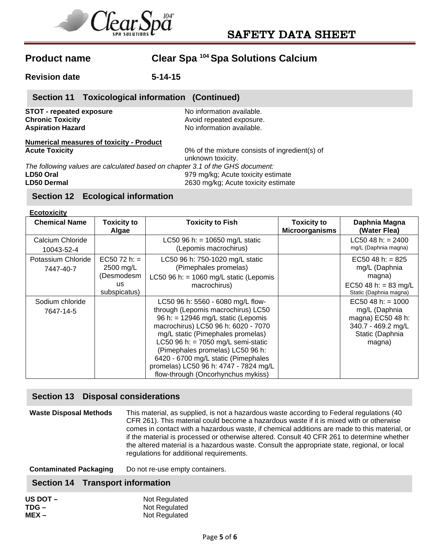

**Revision date 5-14-15** 

# **Section 11 Toxicological information (Continued)**

**STOT - repeated exposure No information available. Chronic Toxicity Avoid repeated exposure. Aspiration Hazard**  No information available.

### **Numerical measures of toxicity - Product Acute Toxicity** 0% of the mixture consists of ingredient(s) of

unknown toxicity. *The following values are calculated based on chapter 3.1 of the GHS document:*  **LD50 Oral** 979 mg/kg; Acute toxicity estimate

**LD50 Dermal** 2630 mg/kg; Acute toxicity estimate

# **Section 12 Ecological information**

| <b>Ecotoxicity</b>              |                                                                       |                                                                                                                                                                                                                                                                                                                                                                                               |                                             |                                                                                                              |
|---------------------------------|-----------------------------------------------------------------------|-----------------------------------------------------------------------------------------------------------------------------------------------------------------------------------------------------------------------------------------------------------------------------------------------------------------------------------------------------------------------------------------------|---------------------------------------------|--------------------------------------------------------------------------------------------------------------|
| <b>Chemical Name</b>            | <b>Toxicity to</b><br>Algae                                           | <b>Toxicity to Fish</b>                                                                                                                                                                                                                                                                                                                                                                       | <b>Toxicity to</b><br><b>Microorganisms</b> | Daphnia Magna<br>(Water Flea)                                                                                |
| Calcium Chloride<br>10043-52-4  |                                                                       | LC50 96 h: = $10650$ mg/L static<br>(Lepomis macrochirus)                                                                                                                                                                                                                                                                                                                                     |                                             | LC50 48 h: $= 2400$<br>mg/L (Daphnia magna)                                                                  |
| Potassium Chloride<br>7447-40-7 | $EC5072 h: =$<br>2500 mg/L<br>(Desmodesm<br><b>US</b><br>subspicatus) | LC50 96 h: 750-1020 mg/L static<br>(Pimephales promelas)<br>LC50 96 h: = $1060$ mg/L static (Lepomis<br>macrochirus)                                                                                                                                                                                                                                                                          |                                             | EC50 48 h: $= 825$<br>mg/L (Daphnia<br>magna)<br>EC50 48 h: = 83 mg/L<br>Static (Daphnia magna)              |
| Sodium chloride<br>7647-14-5    |                                                                       | LC50 96 h: 5560 - 6080 mg/L flow-<br>through (Lepomis macrochirus) LC50<br>96 h: = $12946$ mg/L static (Lepomis<br>macrochirus) LC50 96 h: 6020 - 7070<br>mg/L static (Pimephales promelas)<br>LC50 96 h: = $7050$ mg/L semi-static<br>(Pimephales promelas) LC50 96 h:<br>6420 - 6700 mg/L static (Pimephales<br>promelas) LC50 96 h: 4747 - 7824 mg/L<br>flow-through (Oncorhynchus mykiss) |                                             | $EC50$ 48 h: = 1000<br>mg/L (Daphnia<br>magna) EC50 48 h:<br>340.7 - 469.2 mg/L<br>Static (Daphnia<br>magna) |

# **Section 13 Disposal considerations**

**Waste Disposal Methods** This material, as supplied, is not a hazardous waste according to Federal regulations (40 CFR 261). This material could become a hazardous waste if it is mixed with or otherwise comes in contact with a hazardous waste, if chemical additions are made to this material, or if the material is processed or otherwise altered. Consult 40 CFR 261 to determine whether the altered material is a hazardous waste. Consult the appropriate state, regional, or local regulations for additional requirements.

**Contaminated Packaging** Do not re-use empty containers.

# **Section 14 Transport information**

| US DOT $-$ | Not Regulated |
|------------|---------------|
| TDG –      | Not Regulated |
| $MEX -$    | Not Regulated |